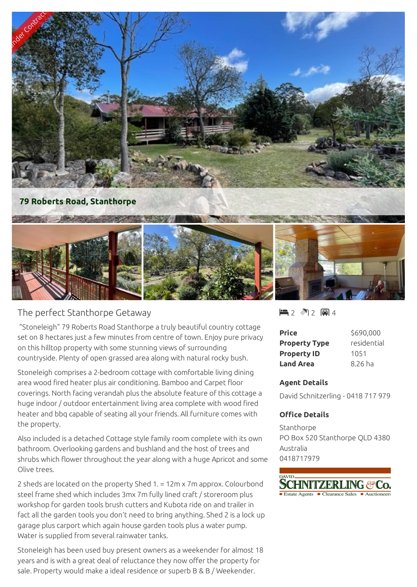

## The perfect Stanthorpe Getaway

 "Stoneleigh" 79 Roberts Road Stanthorpe a truly beautiful country cottage set on 8 hectares just a few minutes from centre of town. Enjoy pure privacy on this hilltop property with some stunning views of surrounding countryside. Plenty of open grassed area along with natural rocky bush.

Stoneleigh comprises a 2-bedroom cottage with comfortable living dining area wood fired heater plus air conditioning. Bamboo and Carpet floor coverings. North facing verandah plus the absolute feature of this cottage a huge indoor / outdoor entertainment living area complete with wood fired heater and bbq capable of seating all your friends. All furniture comes with the property.

Also included is a detached Cottage style family room complete with its own bathroom. Overlooking gardens and bushland and the host of trees and shrubs which flower throughout the year along with a huge Apricot and some Olive trees.

2 sheds are located on the property Shed 1. = 12m x 7m approx. Colourbond steel frame shed which includes 3mx 7m fully lined craft / storeroom plus workshop for garden tools brush cutters and Kubota ride on and trailer in fact all the garden tools you don't need to bring anything. Shed 2 is a lock up garage plus carport which again house garden tools plus a water pump. Water is supplied from several rainwater tanks.

Stoneleigh has been used buy present owners as a weekender for almost 18 years and is with a great deal of reluctance they now offer the property for sale. Property would make a ideal residence or superb B & B / Weekender.

 $2 2 2 8 4$ 

| Price                | \$690,000   |
|----------------------|-------------|
| <b>Property Type</b> | residential |
| <b>Property ID</b>   | 1051        |
| <b>Land Area</b>     | 8.26 ha     |

## **Agent Details**

David Schnitzerling - 0418 717 979

## **Office Details**

Stanthorpe PO Box 520 Stanthorpe QLD 4380 Australia 0418717979